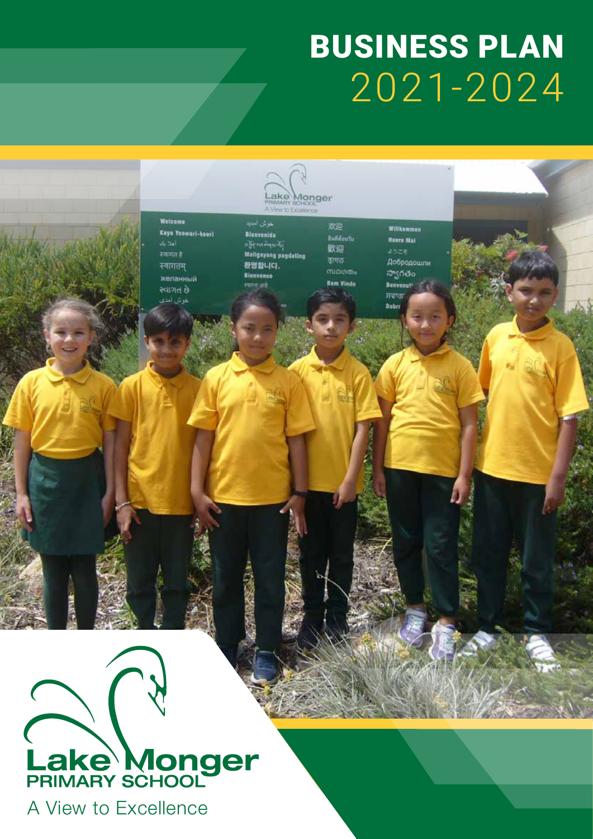# BUSINESS PLAN 2021-2024

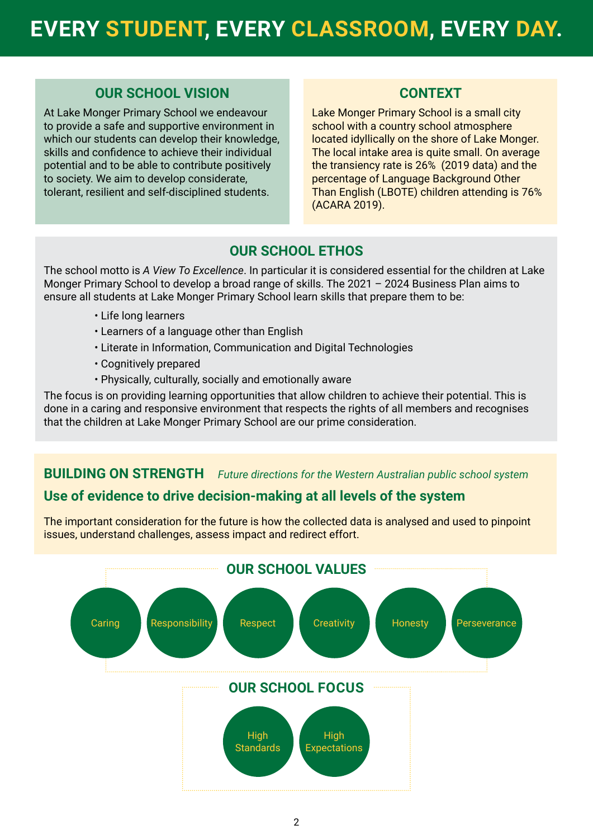# **EVERY STUDENT, EVERY CLASSROOM, EVERY DAY.**

#### **OUR SCHOOL VISION**

At Lake Monger Primary School we endeavour to provide a safe and supportive environment in which our students can develop their knowledge, skills and confidence to achieve their individual potential and to be able to contribute positively to society. We aim to develop considerate, tolerant, resilient and self-disciplined students.

### **CONTEXT**

Lake Monger Primary School is a small city school with a country school atmosphere located idyllically on the shore of Lake Monger. The local intake area is quite small. On average the transiency rate is 26% (2019 data) and the percentage of Language Background Other Than English (LBOTE) children attending is 76% (ACARA 2019).

# **OUR SCHOOL ETHOS**

The school motto is *A View To Excellence*. In particular it is considered essential for the children at Lake Monger Primary School to develop a broad range of skills. The 2021 – 2024 Business Plan aims to ensure all students at Lake Monger Primary School learn skills that prepare them to be:

- Life long learners
- Learners of a language other than English
- Literate in Information, Communication and Digital Technologies
- Cognitively prepared
- Physically, culturally, socially and emotionally aware

The focus is on providing learning opportunities that allow children to achieve their potential. This is done in a caring and responsive environment that respects the rights of all members and recognises that the children at Lake Monger Primary School are our prime consideration.

# **BUILDING ON STRENGTH** *Future directions for the Western Australian public school system*

# **Use of evidence to drive decision-making at all levels of the system**

The important consideration for the future is how the collected data is analysed and used to pinpoint issues, understand challenges, assess impact and redirect effort.

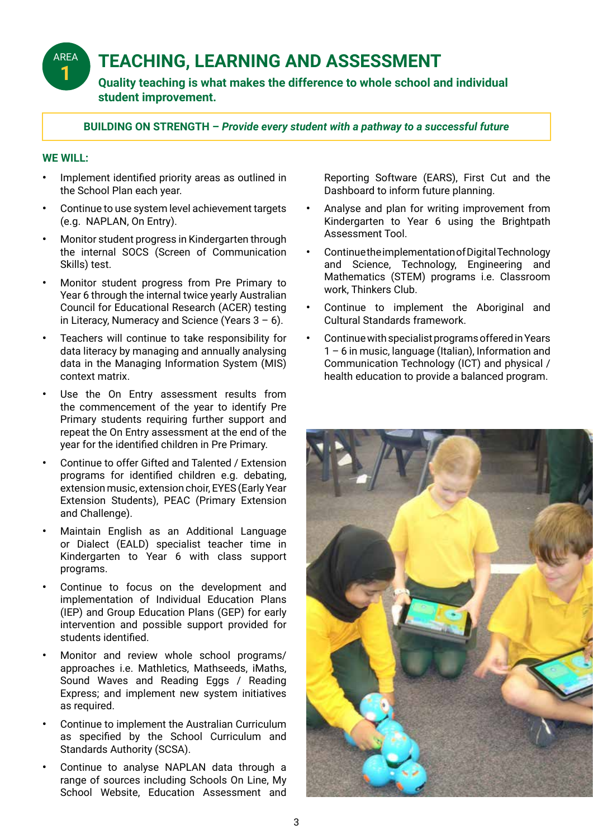# **TEACHING, LEARNING AND ASSESSMENT**

**Quality teaching is what makes the difference to whole school and individual student improvement.**

**BUILDING ON STRENGTH –** *Provide every student with a pathway to a successful future*

#### **WE WILL:**

AREA **1**

- **•** Implement identified priority areas as outlined in the School Plan each year.
- **•** Continue to use system level achievement targets (e.g. NAPLAN, On Entry).
- **•** Monitor student progress in Kindergarten through the internal SOCS (Screen of Communication Skills) test.
- **•** Monitor student progress from Pre Primary to Year 6 through the internal twice yearly Australian Council for Educational Research (ACER) testing in Literacy, Numeracy and Science (Years  $3 - 6$ ).
- **•** Teachers will continue to take responsibility for data literacy by managing and annually analysing data in the Managing Information System (MIS) context matrix.
- Use the On Entry assessment results from the commencement of the year to identify Pre Primary students requiring further support and repeat the On Entry assessment at the end of the year for the identified children in Pre Primary.
- **•** Continue to offer Gifted and Talented / Extension programs for identified children e.g. debating, extension music, extension choir, EYES (Early Year Extension Students), PEAC (Primary Extension and Challenge).
- **•** Maintain English as an Additional Language or Dialect (EALD) specialist teacher time in Kindergarten to Year 6 with class support programs.
- **•** Continue to focus on the development and implementation of Individual Education Plans (IEP) and Group Education Plans (GEP) for early intervention and possible support provided for students identified.
- **•** Monitor and review whole school programs/ approaches i.e. Mathletics, Mathseeds, iMaths, Sound Waves and Reading Eggs / Reading Express; and implement new system initiatives as required.
- **•** Continue to implement the Australian Curriculum as specified by the School Curriculum and Standards Authority (SCSA).
- **•** Continue to analyse NAPLAN data through a range of sources including Schools On Line, My School Website, Education Assessment and

Reporting Software (EARS), First Cut and the Dashboard to inform future planning.

- **•** Analyse and plan for writing improvement from Kindergarten to Year 6 using the Brightpath Assessment Tool.
- **•** Continue the implementation of Digital Technology and Science, Technology, Engineering and Mathematics (STEM) programs i.e. Classroom work, Thinkers Club.
- **•** Continue to implement the Aboriginal and Cultural Standards framework.
- **•** Continue with specialist programs offered in Years 1 – 6 in music, language (Italian), Information and Communication Technology (ICT) and physical / health education to provide a balanced program.

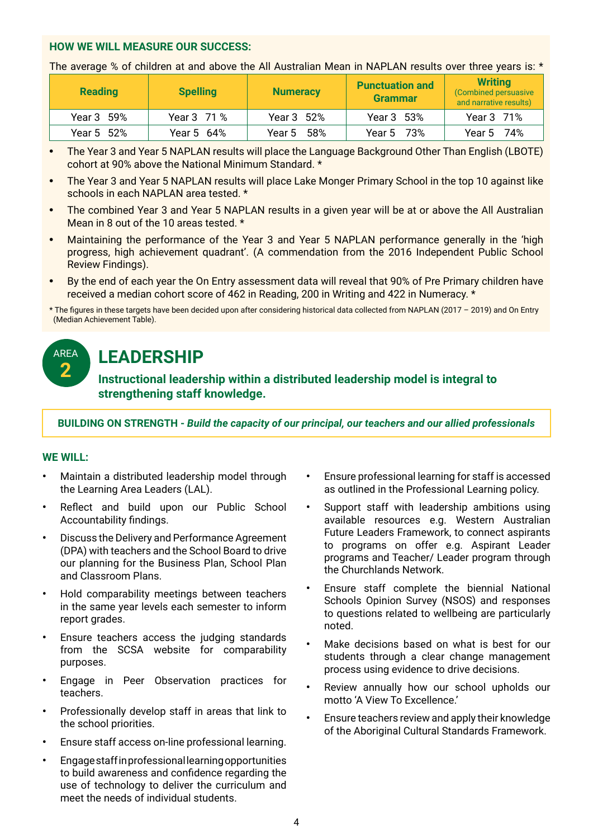#### **HOW WE WILL MEASURE OUR SUCCESS:**

The average % of children at and above the All Australian Mean in NAPLAN results over three years is: \*

| <b>Reading</b> | <b>Spelling</b> | <b>Numeracy</b> | <b>Punctuation and</b><br><b>Grammar</b> | <b>Writing</b><br>(Combined persuasive<br>and narrative results) |
|----------------|-----------------|-----------------|------------------------------------------|------------------------------------------------------------------|
| Year 3 59%     | Year 3 71 %     | Year 3 52%      | Year 3 53%                               | Year 3 71%                                                       |
| Year 5 52%     | Year 5 64%      | Year 5 58%      | Year 5 73%                               | Year 5 74%                                                       |

- **•** The Year 3 and Year 5 NAPLAN results will place the Language Background Other Than English (LBOTE) cohort at 90% above the National Minimum Standard. \*
- **•** The Year 3 and Year 5 NAPLAN results will place Lake Monger Primary School in the top 10 against like schools in each NAPLAN area tested. \*
- **•** The combined Year 3 and Year 5 NAPLAN results in a given year will be at or above the All Australian Mean in 8 out of the 10 areas tested. \*
- **•** Maintaining the performance of the Year 3 and Year 5 NAPLAN performance generally in the 'high progress, high achievement quadrant'. (A commendation from the 2016 Independent Public School Review Findings).
- **•** By the end of each year the On Entry assessment data will reveal that 90% of Pre Primary children have received a median cohort score of 462 in Reading, 200 in Writing and 422 in Numeracy. \*

\* The figures in these targets have been decided upon after considering historical data collected from NAPLAN (2017 – 2019) and On Entry (Median Achievement Table).

# **LEADERSHIP**

**Instructional leadership within a distributed leadership model is integral to strengthening staff knowledge.**

**BUILDING ON STRENGTH -** *Build the capacity of our principal, our teachers and our allied professionals*

#### **WE WILL:**

AREA **2**

- **•** Maintain a distributed leadership model through the Learning Area Leaders (LAL).
- **•** Reflect and build upon our Public School Accountability findings.
- **•** Discuss the Delivery and Performance Agreement (DPA) with teachers and the School Board to drive our planning for the Business Plan, School Plan and Classroom Plans.
- **•** Hold comparability meetings between teachers in the same year levels each semester to inform report grades.
- **•** Ensure teachers access the judging standards from the SCSA website for comparability purposes.
- **•** Engage in Peer Observation practices for teachers.
- **•** Professionally develop staff in areas that link to the school priorities.
- **•** Ensure staff access on-line professional learning.
- **•** Engage staff in professional learning opportunities to build awareness and confidence regarding the use of technology to deliver the curriculum and meet the needs of individual students.
- **•** Ensure professional learning for staff is accessed as outlined in the Professional Learning policy.
- **•** Support staff with leadership ambitions using available resources e.g. Western Australian Future Leaders Framework, to connect aspirants to programs on offer e.g. Aspirant Leader programs and Teacher/ Leader program through the Churchlands Network.
- **•** Ensure staff complete the biennial National Schools Opinion Survey (NSOS) and responses to questions related to wellbeing are particularly noted.
- **•** Make decisions based on what is best for our students through a clear change management process using evidence to drive decisions.
- **•** Review annually how our school upholds our motto 'A View To Excellence.'
- **•** Ensure teachers review and apply their knowledge of the Aboriginal Cultural Standards Framework.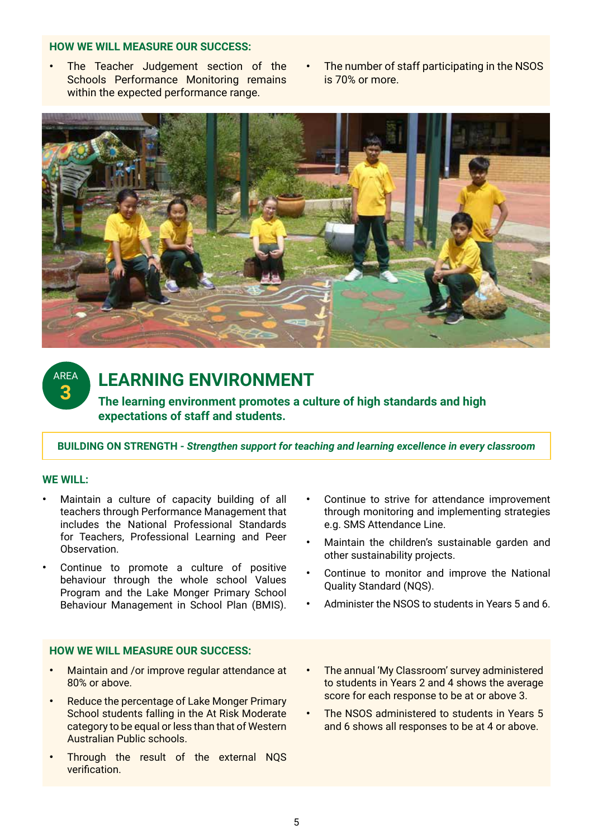#### **HOW WE WILL MEASURE OUR SUCCESS:**

- **•** The Teacher Judgement section of the Schools Performance Monitoring remains within the expected performance range.
- **•** The number of staff participating in the NSOS is 70% or more.



AREA **3**

# **LEARNING ENVIRONMENT**

**The learning environment promotes a culture of high standards and high expectations of staff and students.**

**BUILDING ON STRENGTH -** *Strengthen support for teaching and learning excellence in every classroom*

#### **WE WILL:**

- **•** Maintain a culture of capacity building of all teachers through Performance Management that includes the National Professional Standards for Teachers, Professional Learning and Peer Observation.
- **•** Continue to promote a culture of positive behaviour through the whole school Values Program and the Lake Monger Primary School Behaviour Management in School Plan (BMIS).

#### **HOW WE WILL MEASURE OUR SUCCESS:**

- **•** Maintain and /or improve regular attendance at 80% or above.
- **•** Reduce the percentage of Lake Monger Primary School students falling in the At Risk Moderate category to be equal or less than that of Western Australian Public schools.
- **•** Through the result of the external NQS verification.
- **•** Continue to strive for attendance improvement through monitoring and implementing strategies e.g. SMS Attendance Line.
- **•** Maintain the children's sustainable garden and other sustainability projects.
- **•** Continue to monitor and improve the National Quality Standard (NQS).
- **•** Administer the NSOS to students in Years 5 and 6.
- **•** The annual 'My Classroom' survey administered to students in Years 2 and 4 shows the average score for each response to be at or above 3.
- **•** The NSOS administered to students in Years 5 and 6 shows all responses to be at 4 or above.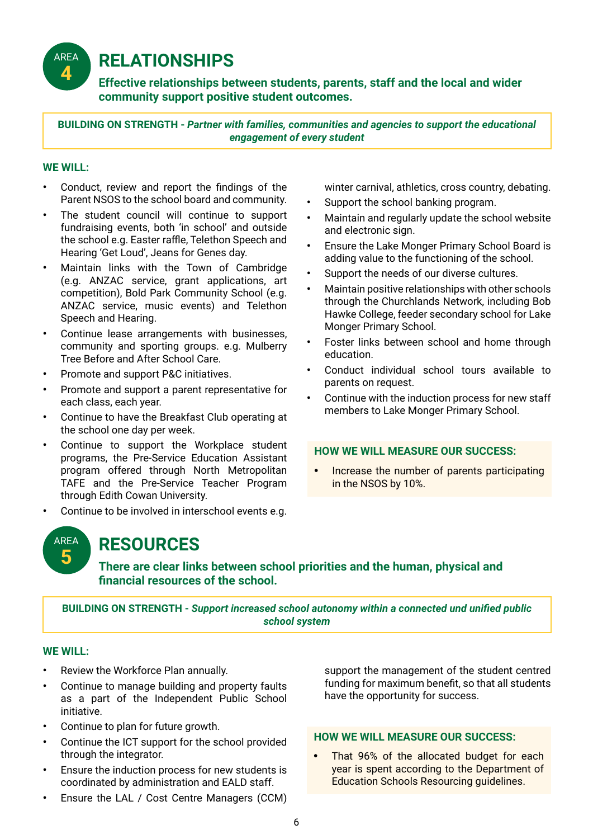**RELATIONSHIPS**

**Effective relationships between students, parents, staff and the local and wider community support positive student outcomes.**

**BUILDING ON STRENGTH -** *Partner with families, communities and agencies to support the educational engagement of every student*

#### **WE WILL:**

AREA **4**

- **•** Conduct, review and report the findings of the Parent NSOS to the school board and community.
- **•** The student council will continue to support fundraising events, both 'in school' and outside the school e.g. Easter raffle, Telethon Speech and Hearing 'Get Loud', Jeans for Genes day.
- **•** Maintain links with the Town of Cambridge (e.g. ANZAC service, grant applications, art competition), Bold Park Community School (e.g. ANZAC service, music events) and Telethon Speech and Hearing.
- **•** Continue lease arrangements with businesses, community and sporting groups. e.g. Mulberry Tree Before and After School Care.
- **•** Promote and support P&C initiatives.
- **•** Promote and support a parent representative for each class, each year.
- **•** Continue to have the Breakfast Club operating at the school one day per week.
- **•** Continue to support the Workplace student programs, the Pre-Service Education Assistant program offered through North Metropolitan TAFE and the Pre-Service Teacher Program through Edith Cowan University.
- **•** Continue to be involved in interschool events e.g.

winter carnival, athletics, cross country, debating.

- **•** Support the school banking program.
- **•** Maintain and regularly update the school website and electronic sign.
- **•** Ensure the Lake Monger Primary School Board is adding value to the functioning of the school.
- **•** Support the needs of our diverse cultures.
- **•** Maintain positive relationships with other schools through the Churchlands Network, including Bob Hawke College, feeder secondary school for Lake Monger Primary School.
- **•** Foster links between school and home through education.
- **•** Conduct individual school tours available to parents on request.
- **•** Continue with the induction process for new staff members to Lake Monger Primary School.

#### **HOW WE WILL MEASURE OUR SUCCESS:**

**•** Increase the number of parents participating in the NSOS by 10%.

AREA **5**

# **RESOURCES**

**There are clear links between school priorities and the human, physical and financial resources of the school.**

**BUILDING ON STRENGTH -** *Support increased school autonomy within a connected und unified public school system*

#### **WE WILL:**

- **•** Review the Workforce Plan annually.
- **•** Continue to manage building and property faults as a part of the Independent Public School initiative.
- **•** Continue to plan for future growth.
- **•** Continue the ICT support for the school provided through the integrator.
- **•** Ensure the induction process for new students is coordinated by administration and EALD staff.
- **•** Ensure the LAL / Cost Centre Managers (CCM)

support the management of the student centred funding for maximum benefit, so that all students have the opportunity for success.

#### **HOW WE WILL MEASURE OUR SUCCESS:**

**•** That 96% of the allocated budget for each year is spent according to the Department of Education Schools Resourcing guidelines.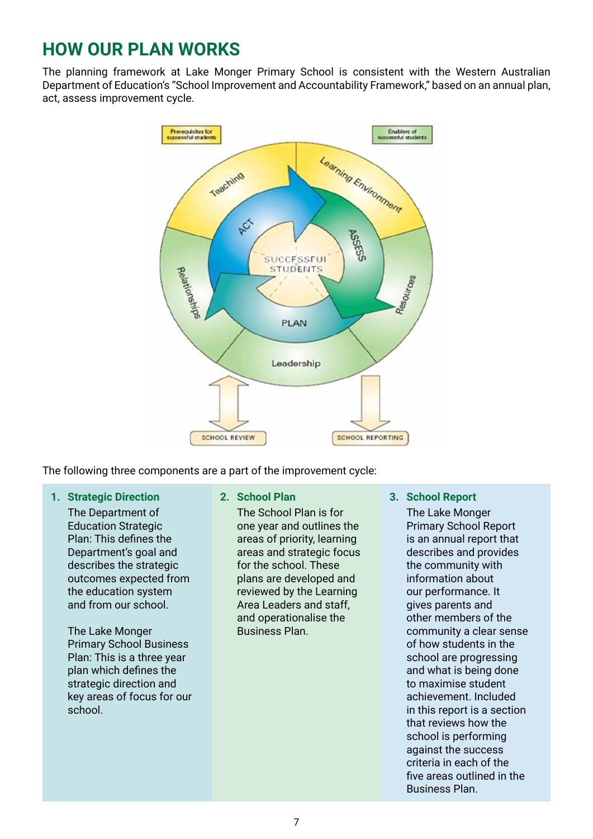# **HOW OUR PLAN WORKS**

The planning framework at Lake Monger Primary School is consistent with the Western Australian Department of Education's "School Improvement and Accountability Framework," based on an annual plan, act, assess improvement cycle.



The following three components are a part of the improvement cycle:

**1. Strategic Direction**

The Department of Education Strategic Plan: This defines the Department's goal and describes the strategic outcomes expected from the education system and from our school.

The Lake Monger Primary School Business Plan: This is a three year plan which defines the strategic direction and key areas of focus for our school.

**2. School Plan**

The School Plan is for one year and outlines the areas of priority, learning areas and strategic focus for the school. These plans are developed and reviewed by the Learning Area Leaders and staff, and operationalise the Business Plan.

#### **3. School Report**

The Lake Monger Primary School Report is an annual report that describes and provides the community with information about our performance. It gives parents and other members of the community a clear sense of how students in the school are progressing and what is being done to maximise student achievement. Included in this report is a section that reviews how the school is performing against the success criteria in each of the five areas outlined in the Business Plan.